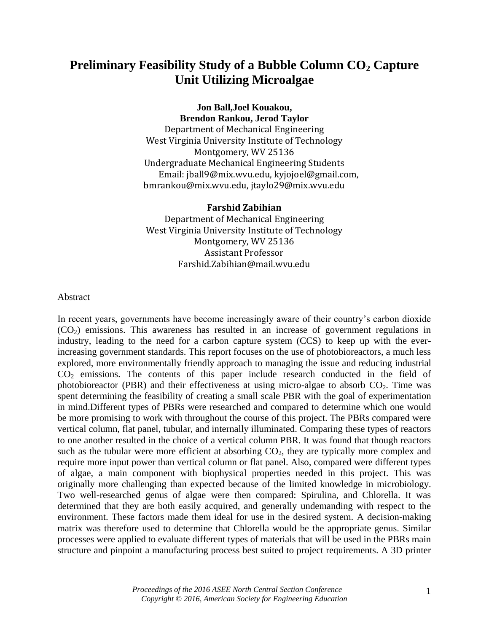# **Preliminary Feasibility Study of a Bubble Column CO<sup>2</sup> Capture Unit Utilizing Microalgae**

**Jon Ball,Joel Kouakou, Brendon Rankou, Jerod Taylor** Department of Mechanical Engineering West Virginia University Institute of Technology Montgomery, WV 25136 Undergraduate Mechanical Engineering Students Email: jball9@mix.wvu.edu, kyjojoel@gmail.com, bmrankou@mix.wvu.edu, jtaylo29@mix.wvu.edu

#### **Farshid Zabihian**

Department of Mechanical Engineering West Virginia University Institute of Technology Montgomery, WV 25136 Assistant Professor Farshid.Zabihian@mail.wvu.edu

#### Abstract

In recent years, governments have become increasingly aware of their country's carbon dioxide  $(CO<sub>2</sub>)$  emissions. This awareness has resulted in an increase of government regulations in industry, leading to the need for a carbon capture system (CCS) to keep up with the everincreasing government standards. This report focuses on the use of photobioreactors, a much less explored, more environmentally friendly approach to managing the issue and reducing industrial  $CO<sub>2</sub>$  emissions. The contents of this paper include research conducted in the field of photobioreactor (PBR) and their effectiveness at using micro-algae to absorb  $CO<sub>2</sub>$ . Time was spent determining the feasibility of creating a small scale PBR with the goal of experimentation in mind.Different types of PBRs were researched and compared to determine which one would be more promising to work with throughout the course of this project. The PBRs compared were vertical column, flat panel, tubular, and internally illuminated. Comparing these types of reactors to one another resulted in the choice of a vertical column PBR. It was found that though reactors such as the tubular were more efficient at absorbing  $CO<sub>2</sub>$ , they are typically more complex and require more input power than vertical column or flat panel. Also, compared were different types of algae, a main component with biophysical properties needed in this project. This was originally more challenging than expected because of the limited knowledge in microbiology. Two well-researched genus of algae were then compared: Spirulina, and Chlorella. It was determined that they are both easily acquired, and generally undemanding with respect to the environment. These factors made them ideal for use in the desired system. A decision-making matrix was therefore used to determine that Chlorella would be the appropriate genus. Similar processes were applied to evaluate different types of materials that will be used in the PBRs main structure and pinpoint a manufacturing process best suited to project requirements. A 3D printer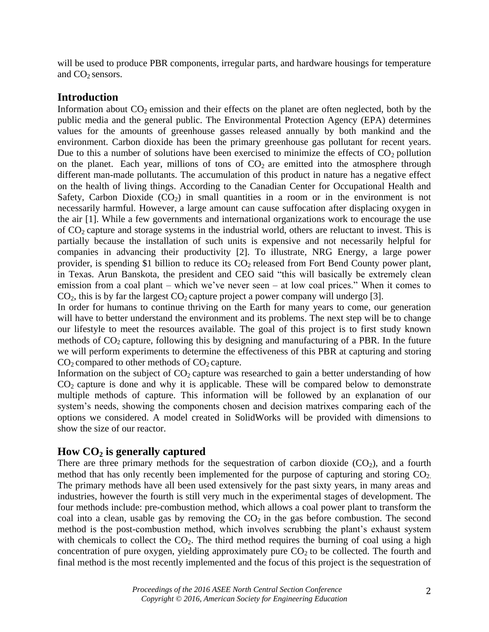will be used to produce PBR components, irregular parts, and hardware housings for temperature and  $CO<sub>2</sub>$  sensors.

### **Introduction**

Information about  $CO_2$  emission and their effects on the planet are often neglected, both by the public media and the general public. The Environmental Protection Agency (EPA) determines values for the amounts of greenhouse gasses released annually by both mankind and the environment. Carbon dioxide has been the primary greenhouse gas pollutant for recent years. Due to this a number of solutions have been exercised to minimize the effects of  $CO<sub>2</sub>$  pollution on the planet. Each year, millions of tons of  $CO<sub>2</sub>$  are emitted into the atmosphere through different man-made pollutants. The accumulation of this product in nature has a negative effect on the health of living things. According to the Canadian Center for Occupational Health and Safety, Carbon Dioxide  $(CO_2)$  in small quantities in a room or in the environment is not necessarily harmful. However, a large amount can cause suffocation after displacing oxygen in the air [1]. While a few governments and international organizations work to encourage the use of  $CO<sub>2</sub>$  capture and storage systems in the industrial world, others are reluctant to invest. This is partially because the installation of such units is expensive and not necessarily helpful for companies in advancing their productivity [2]. To illustrate, NRG Energy, a large power provider, is spending \$1 billion to reduce its  $CO<sub>2</sub>$  released from Fort Bend County power plant, in Texas. Arun Banskota, the president and CEO said "this will basically be extremely clean emission from a coal plant – which we've never seen – at low coal prices." When it comes to  $CO<sub>2</sub>$ , this is by far the largest  $CO<sub>2</sub>$  capture project a power company will undergo [3].

In order for humans to continue thriving on the Earth for many years to come, our generation will have to better understand the environment and its problems. The next step will be to change our lifestyle to meet the resources available. The goal of this project is to first study known methods of  $CO<sub>2</sub>$  capture, following this by designing and manufacturing of a PBR. In the future we will perform experiments to determine the effectiveness of this PBR at capturing and storing  $CO<sub>2</sub>$  compared to other methods of  $CO<sub>2</sub>$  capture.

Information on the subject of  $CO<sub>2</sub>$  capture was researched to gain a better understanding of how  $CO<sub>2</sub>$  capture is done and why it is applicable. These will be compared below to demonstrate multiple methods of capture. This information will be followed by an explanation of our system's needs, showing the components chosen and decision matrixes comparing each of the options we considered. A model created in SolidWorks will be provided with dimensions to show the size of our reactor.

## **How CO<sup>2</sup> is generally captured**

There are three primary methods for the sequestration of carbon dioxide  $(CO_2)$ , and a fourth method that has only recently been implemented for the purpose of capturing and storing  $CO<sub>2</sub>$ . The primary methods have all been used extensively for the past sixty years, in many areas and industries, however the fourth is still very much in the experimental stages of development. The four methods include: pre-combustion method, which allows a coal power plant to transform the coal into a clean, usable gas by removing the  $CO<sub>2</sub>$  in the gas before combustion. The second method is the post-combustion method, which involves scrubbing the plant's exhaust system with chemicals to collect the  $CO<sub>2</sub>$ . The third method requires the burning of coal using a high concentration of pure oxygen, yielding approximately pure  $CO<sub>2</sub>$  to be collected. The fourth and final method is the most recently implemented and the focus of this project is the sequestration of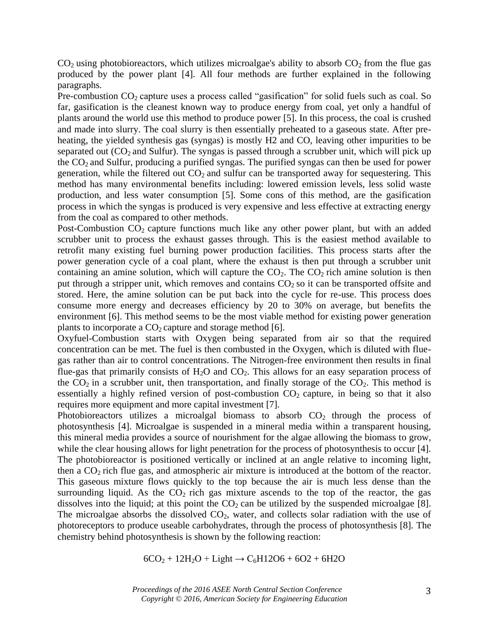$CO<sub>2</sub>$  using photobioreactors, which utilizes microalgae's ability to absorb  $CO<sub>2</sub>$  from the flue gas produced by the power plant [4]. All four methods are further explained in the following paragraphs.

Pre-combustion  $CO_2$  capture uses a process called "gasification" for solid fuels such as coal. So far, gasification is the cleanest known way to produce energy from coal, yet only a handful of plants around the world use this method to produce power [5]. In this process, the coal is crushed and made into slurry. The coal slurry is then essentially preheated to a gaseous state. After preheating, the yielded synthesis gas (syngas) is mostly H2 and CO, leaving other impurities to be separated out  $(CO_2$  and Sulfur). The syngas is passed through a scrubber unit, which will pick up the  $CO<sub>2</sub>$  and Sulfur, producing a purified syngas. The purified syngas can then be used for power generation, while the filtered out  $CO<sub>2</sub>$  and sulfur can be transported away for sequestering. This method has many environmental benefits including: lowered emission levels, less solid waste production, and less water consumption [5]. Some cons of this method, are the gasification process in which the syngas is produced is very expensive and less effective at extracting energy from the coal as compared to other methods.

Post-Combustion  $CO_2$  capture functions much like any other power plant, but with an added scrubber unit to process the exhaust gasses through. This is the easiest method available to retrofit many existing fuel burning power production facilities. This process starts after the power generation cycle of a coal plant, where the exhaust is then put through a scrubber unit containing an amine solution, which will capture the  $CO<sub>2</sub>$ . The  $CO<sub>2</sub>$  rich amine solution is then put through a stripper unit, which removes and contains  $CO<sub>2</sub>$  so it can be transported offsite and stored. Here, the amine solution can be put back into the cycle for re-use. This process does consume more energy and decreases efficiency by 20 to 30% on average, but benefits the environment [6]. This method seems to be the most viable method for existing power generation plants to incorporate a  $CO<sub>2</sub>$  capture and storage method [6].

Oxyfuel-Combustion starts with Oxygen being separated from air so that the required concentration can be met. The fuel is then combusted in the Oxygen, which is diluted with fluegas rather than air to control concentrations. The Nitrogen-free environment then results in final flue-gas that primarily consists of  $H_2O$  and  $CO_2$ . This allows for an easy separation process of the  $CO<sub>2</sub>$  in a scrubber unit, then transportation, and finally storage of the  $CO<sub>2</sub>$ . This method is essentially a highly refined version of post-combustion  $CO<sub>2</sub>$  capture, in being so that it also requires more equipment and more capital investment [7].

Photobioreactors utilizes a microalgal biomass to absorb  $CO<sub>2</sub>$  through the process of photosynthesis [4]. Microalgae is suspended in a mineral media within a transparent housing, this mineral media provides a source of nourishment for the algae allowing the biomass to grow, while the clear housing allows for light penetration for the process of photosynthesis to occur [4]. The photobioreactor is positioned vertically or inclined at an angle relative to incoming light, then a  $CO<sub>2</sub>$  rich flue gas, and atmospheric air mixture is introduced at the bottom of the reactor. This gaseous mixture flows quickly to the top because the air is much less dense than the surrounding liquid. As the  $CO<sub>2</sub>$  rich gas mixture ascends to the top of the reactor, the gas dissolves into the liquid; at this point the  $CO<sub>2</sub>$  can be utilized by the suspended microalgae [8]. The microalgae absorbs the dissolved  $CO<sub>2</sub>$ , water, and collects solar radiation with the use of photoreceptors to produce useable carbohydrates, through the process of photosynthesis [8]. The chemistry behind photosynthesis is shown by the following reaction:

$$
6CO_2 + 12H_2O + Light \rightarrow C_6H12O6 + 6O2 + 6H2O
$$

*Proceedings of the 2016 ASEE North Central Section Conference Copyright © 2016, American Society for Engineering Education*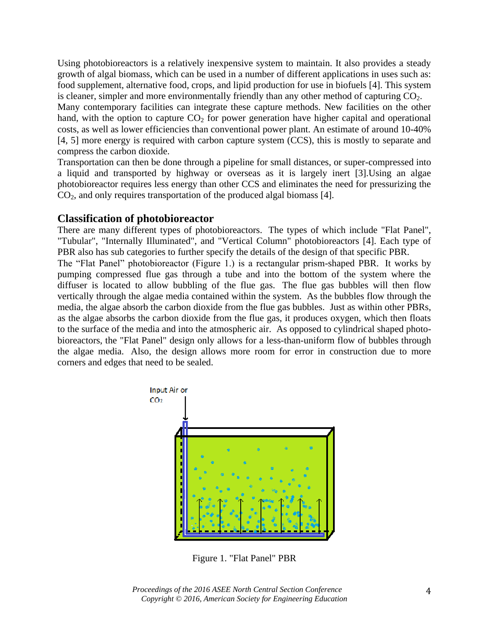Using photobioreactors is a relatively inexpensive system to maintain. It also provides a steady growth of algal biomass, which can be used in a number of different applications in uses such as: food supplement, alternative food, crops, and lipid production for use in biofuels [4]. This system is cleaner, simpler and more environmentally friendly than any other method of capturing  $CO<sub>2</sub>$ .

Many contemporary facilities can integrate these capture methods. New facilities on the other hand, with the option to capture  $CO<sub>2</sub>$  for power generation have higher capital and operational costs, as well as lower efficiencies than conventional power plant. An estimate of around 10-40% [4, 5] more energy is required with carbon capture system (CCS), this is mostly to separate and compress the carbon dioxide.

Transportation can then be done through a pipeline for small distances, or super-compressed into a liquid and transported by highway or overseas as it is largely inert [3].Using an algae photobioreactor requires less energy than other CCS and eliminates the need for pressurizing the  $CO<sub>2</sub>$ , and only requires transportation of the produced algal biomass [4].

#### **Classification of photobioreactor**

There are many different types of photobioreactors. The types of which include "Flat Panel", "Tubular", "Internally Illuminated", and "Vertical Column" photobioreactors [4]. Each type of PBR also has sub categories to further specify the details of the design of that specific PBR. The "Flat Panel" photobioreactor (Figure 1.) is a rectangular prism-shaped PBR. It works by pumping compressed flue gas through a tube and into the bottom of the system where the diffuser is located to allow bubbling of the flue gas. The flue gas bubbles will then flow vertically through the algae media contained within the system. As the bubbles flow through the

media, the algae absorb the carbon dioxide from the flue gas bubbles. Just as within other PBRs, as the algae absorbs the carbon dioxide from the flue gas, it produces oxygen, which then floats to the surface of the media and into the atmospheric air. As opposed to cylindrical shaped photobioreactors, the "Flat Panel" design only allows for a less-than-uniform flow of bubbles through the algae media. Also, the design allows more room for error in construction due to more corners and edges that need to be sealed.



Figure 1. "Flat Panel" PBR

*Proceedings of the 2016 ASEE North Central Section Conference Copyright © 2016, American Society for Engineering Education*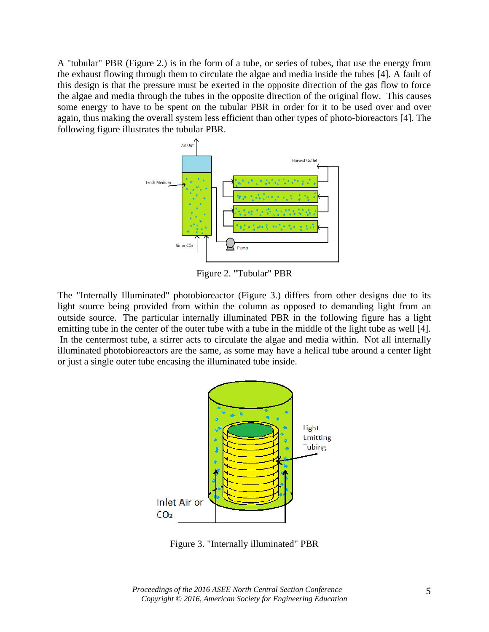A "tubular" PBR (Figure 2.) is in the form of a tube, or series of tubes, that use the energy from the exhaust flowing through them to circulate the algae and media inside the tubes [4]. A fault of this design is that the pressure must be exerted in the opposite direction of the gas flow to force the algae and media through the tubes in the opposite direction of the original flow. This causes some energy to have to be spent on the tubular PBR in order for it to be used over and over again, thus making the overall system less efficient than other types of photo-bioreactors [4]. The following figure illustrates the tubular PBR.



Figure 2. "Tubular" PBR

The "Internally Illuminated" photobioreactor (Figure 3.) differs from other designs due to its light source being provided from within the column as opposed to demanding light from an outside source. The particular internally illuminated PBR in the following figure has a light emitting tube in the center of the outer tube with a tube in the middle of the light tube as well [4]. In the centermost tube, a stirrer acts to circulate the algae and media within. Not all internally illuminated photobioreactors are the same, as some may have a helical tube around a center light or just a single outer tube encasing the illuminated tube inside.



Figure 3. "Internally illuminated" PBR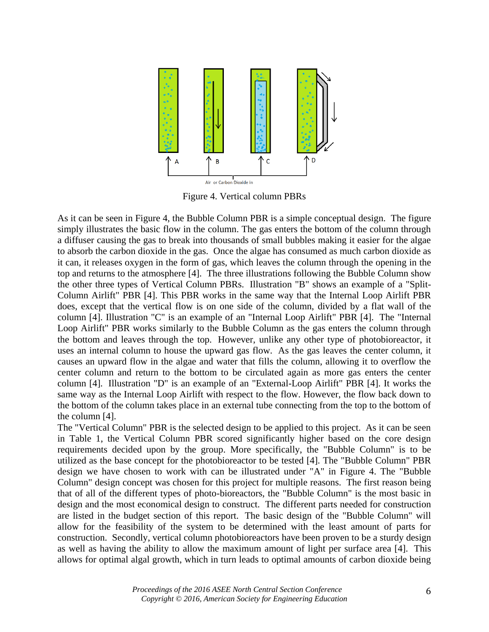

Figure 4. Vertical column PBRs

As it can be seen in Figure 4, the Bubble Column PBR is a simple conceptual design. The figure simply illustrates the basic flow in the column. The gas enters the bottom of the column through a diffuser causing the gas to break into thousands of small bubbles making it easier for the algae to absorb the carbon dioxide in the gas. Once the algae has consumed as much carbon dioxide as it can, it releases oxygen in the form of gas, which leaves the column through the opening in the top and returns to the atmosphere [4]. The three illustrations following the Bubble Column show the other three types of Vertical Column PBRs. Illustration "B" shows an example of a "Split-Column Airlift" PBR [4]. This PBR works in the same way that the Internal Loop Airlift PBR does, except that the vertical flow is on one side of the column, divided by a flat wall of the column [4]. Illustration "C" is an example of an "Internal Loop Airlift" PBR [4]. The "Internal Loop Airlift" PBR works similarly to the Bubble Column as the gas enters the column through the bottom and leaves through the top. However, unlike any other type of photobioreactor, it uses an internal column to house the upward gas flow. As the gas leaves the center column, it causes an upward flow in the algae and water that fills the column, allowing it to overflow the center column and return to the bottom to be circulated again as more gas enters the center column [4]. Illustration "D" is an example of an "External-Loop Airlift" PBR [4]. It works the same way as the Internal Loop Airlift with respect to the flow. However, the flow back down to the bottom of the column takes place in an external tube connecting from the top to the bottom of the column [4].

The "Vertical Column" PBR is the selected design to be applied to this project. As it can be seen in Table 1, the Vertical Column PBR scored significantly higher based on the core design requirements decided upon by the group. More specifically, the "Bubble Column" is to be utilized as the base concept for the photobioreactor to be tested [4]. The "Bubble Column" PBR design we have chosen to work with can be illustrated under "A" in Figure 4. The "Bubble Column" design concept was chosen for this project for multiple reasons. The first reason being that of all of the different types of photo-bioreactors, the "Bubble Column" is the most basic in design and the most economical design to construct. The different parts needed for construction are listed in the budget section of this report. The basic design of the "Bubble Column" will allow for the feasibility of the system to be determined with the least amount of parts for construction. Secondly, vertical column photobioreactors have been proven to be a sturdy design as well as having the ability to allow the maximum amount of light per surface area [4]. This allows for optimal algal growth, which in turn leads to optimal amounts of carbon dioxide being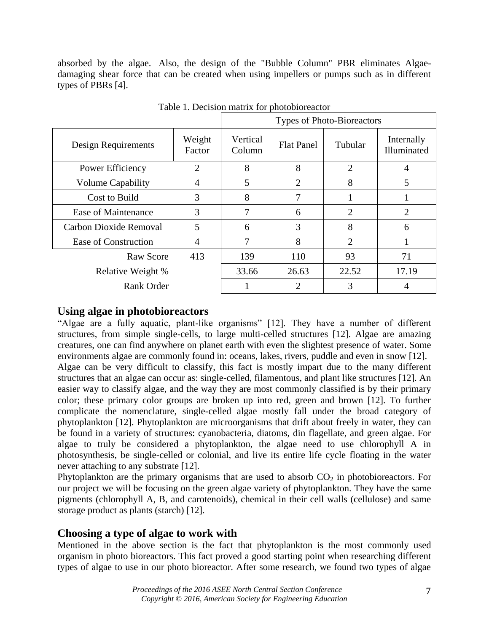absorbed by the algae. Also, the design of the "Bubble Column" PBR eliminates Algaedamaging shear force that can be created when using impellers or pumps such as in different types of PBRs [4].

|                          |                  | Types of Photo-Bioreactors |                   |                |                           |
|--------------------------|------------------|----------------------------|-------------------|----------------|---------------------------|
| Design Requirements      | Weight<br>Factor | Vertical<br>Column         | <b>Flat Panel</b> | Tubular        | Internally<br>Illuminated |
| Power Efficiency         | $\overline{2}$   | 8                          | 8                 | $\overline{2}$ |                           |
| <b>Volume Capability</b> | 4                | 5                          | $\overline{2}$    | 8              | 5                         |
| Cost to Build            | 3                | 8                          | 7                 |                |                           |
| Ease of Maintenance      | 3                | 7                          | 6                 | $\overline{2}$ | 2                         |
| Carbon Dioxide Removal   | 5                | 6                          | 3                 | 8              | 6                         |
| Ease of Construction     | 4                | 7                          | 8                 | $\overline{2}$ |                           |
| Raw Score                | 413              | 139                        | 110               | 93             | 71                        |
| Relative Weight %        |                  | 33.66                      | 26.63             | 22.52          | 17.19                     |
| Rank Order               |                  |                            | 2                 | 3              |                           |

Table 1. Decision matrix for photobioreactor

## **Using algae in photobioreactors**

"Algae are a fully aquatic, plant-like organisms" [12]. They have a number of different structures, from simple single-cells, to large multi-celled structures [12]. Algae are amazing creatures, one can find anywhere on planet earth with even the slightest presence of water. Some environments algae are commonly found in: oceans, lakes, rivers, puddle and even in snow [12]. Algae can be very difficult to classify, this fact is mostly impart due to the many different structures that an algae can occur as: single-celled, filamentous, and plant like structures [12]. An easier way to classify algae, and the way they are most commonly classified is by their primary color; these primary color groups are broken up into red, green and brown [12]. To further complicate the nomenclature, single-celled algae mostly fall under the broad category of phytoplankton [12]. Phytoplankton are microorganisms that drift about freely in water, they can be found in a variety of structures: cyanobacteria, diatoms, din flagellate, and green algae. For algae to truly be considered a phytoplankton, the algae need to use chlorophyll A in photosynthesis, be single-celled or colonial, and live its entire life cycle floating in the water never attaching to any substrate [12].

Phytoplankton are the primary organisms that are used to absorb  $CO<sub>2</sub>$  in photobioreactors. For our project we will be focusing on the green algae variety of phytoplankton. They have the same pigments (chlorophyll A, B, and carotenoids), chemical in their cell walls (cellulose) and same storage product as plants (starch) [12].

## **Choosing a type of algae to work with**

Mentioned in the above section is the fact that phytoplankton is the most commonly used organism in photo bioreactors. This fact proved a good starting point when researching different types of algae to use in our photo bioreactor. After some research, we found two types of algae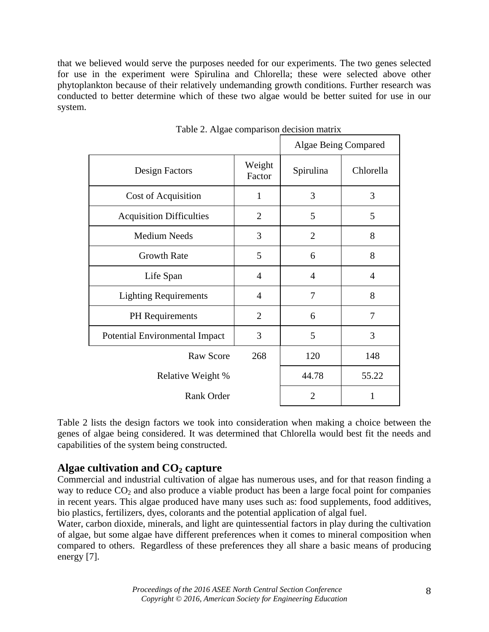that we believed would serve the purposes needed for our experiments. The two genes selected for use in the experiment were Spirulina and Chlorella; these were selected above other phytoplankton because of their relatively undemanding growth conditions. Further research was conducted to better determine which of these two algae would be better suited for use in our system.

|                                 | Algae Being Compared |                |                |
|---------------------------------|----------------------|----------------|----------------|
| Design Factors                  | Weight<br>Factor     | Spirulina      | Chlorella      |
| Cost of Acquisition             | $\mathbf{1}$         | 3              | 3              |
| <b>Acquisition Difficulties</b> | $\overline{2}$       | 5              | 5              |
| <b>Medium Needs</b>             | 3                    | $\overline{2}$ | 8              |
| <b>Growth Rate</b>              | 5                    | 6              | 8              |
| Life Span                       | $\overline{4}$       | $\overline{4}$ | $\overline{4}$ |
| <b>Lighting Requirements</b>    | $\overline{4}$       | $\overline{7}$ | 8              |
| <b>PH</b> Requirements          | $\overline{2}$       | 6              | 7              |
| Potential Environmental Impact  | 3                    | 5              | 3              |
| <b>Raw Score</b>                | 268                  | 120            | 148            |
| Relative Weight %               |                      | 44.78          | 55.22          |
| Rank Order                      |                      | $\overline{2}$ | 1              |

Table 2. Algae comparison decision matrix

Table 2 lists the design factors we took into consideration when making a choice between the genes of algae being considered. It was determined that Chlorella would best fit the needs and capabilities of the system being constructed.

## **Algae cultivation and CO<sup>2</sup> capture**

Commercial and industrial cultivation of algae has numerous uses, and for that reason finding a way to reduce  $CO<sub>2</sub>$  and also produce a viable product has been a large focal point for companies in recent years. This algae produced have many uses such as: food supplements, food additives, bio plastics, fertilizers, dyes, colorants and the potential application of algal fuel.

Water, carbon dioxide, minerals, and light are quintessential factors in play during the cultivation of algae, but some algae have different preferences when it comes to mineral composition when compared to others. Regardless of these preferences they all share a basic means of producing energy [7].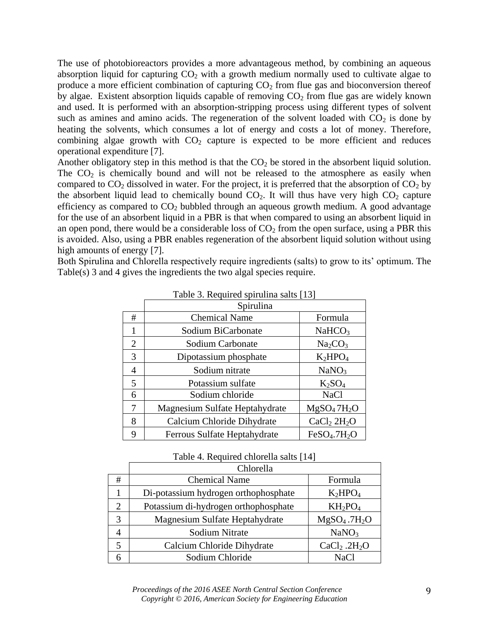The use of photobioreactors provides a more advantageous method, by combining an aqueous absorption liquid for capturing  $CO<sub>2</sub>$  with a growth medium normally used to cultivate algae to produce a more efficient combination of capturing  $CO<sub>2</sub>$  from flue gas and bioconversion thereof by algae. Existent absorption liquids capable of removing  $CO<sub>2</sub>$  from flue gas are widely known and used. It is performed with an absorption-stripping process using different types of solvent such as amines and amino acids. The regeneration of the solvent loaded with  $CO<sub>2</sub>$  is done by heating the solvents, which consumes a lot of energy and costs a lot of money. Therefore, combining algae growth with  $CO<sub>2</sub>$  capture is expected to be more efficient and reduces operational expenditure [7].

Another obligatory step in this method is that the  $CO<sub>2</sub>$  be stored in the absorbent liquid solution. The  $CO<sub>2</sub>$  is chemically bound and will not be released to the atmosphere as easily when compared to  $CO_2$  dissolved in water. For the project, it is preferred that the absorption of  $CO_2$  by the absorbent liquid lead to chemically bound  $CO<sub>2</sub>$ . It will thus have very high  $CO<sub>2</sub>$  capture efficiency as compared to  $CO<sub>2</sub>$  bubbled through an aqueous growth medium. A good advantage for the use of an absorbent liquid in a PBR is that when compared to using an absorbent liquid in an open pond, there would be a considerable loss of  $CO<sub>2</sub>$  from the open surface, using a PBR this is avoided. Also, using a PBR enables regeneration of the absorbent liquid solution without using high amounts of energy [7].

Both Spirulina and Chlorella respectively require ingredients (salts) to grow to its' optimum. The Table(s) 3 and 4 gives the ingredients the two algal species require.

|   | $1000$ $\sigma$ . Inequated optimize $500$ |                                      |  |  |
|---|--------------------------------------------|--------------------------------------|--|--|
|   | Spirulina                                  |                                      |  |  |
| # | <b>Chemical Name</b>                       | Formula                              |  |  |
| 1 | Sodium BiCarbonate                         | NaHCO <sub>3</sub>                   |  |  |
| 2 | Sodium Carbonate                           | Na <sub>2</sub> CO <sub>3</sub>      |  |  |
| 3 | Dipotassium phosphate                      | $K_2HPO_4$                           |  |  |
| 4 | Sodium nitrate                             | NaNO <sub>3</sub>                    |  |  |
| 5 | Potassium sulfate                          | $K_2SO_4$                            |  |  |
| 6 | Sodium chloride                            | <b>NaCl</b>                          |  |  |
| 7 | Magnesium Sulfate Heptahydrate             | MgSO <sub>4</sub> 7H <sub>2</sub> O  |  |  |
| 8 | Calcium Chloride Dihydrate                 | CaCl <sub>2</sub> 2H <sub>2</sub> O  |  |  |
| 9 | Ferrous Sulfate Heptahydrate               | FeSO <sub>4</sub> .7H <sub>2</sub> O |  |  |

|  |  |  | Table 3. Required spirulina salts [13] |  |
|--|--|--|----------------------------------------|--|
|--|--|--|----------------------------------------|--|

Table 4. Required chlorella salts [14]

|   | Chlorella                            |                                      |  |
|---|--------------------------------------|--------------------------------------|--|
| # | <b>Chemical Name</b>                 | Formula                              |  |
|   | Di-potassium hydrogen orthophosphate | $K_2HPO_4$                           |  |
| 2 | Potassium di-hydrogen orthophosphate | $KH_2PO_4$                           |  |
| 3 | Magnesium Sulfate Heptahydrate       | MgSO <sub>4</sub> .7H <sub>2</sub> O |  |
|   | Sodium Nitrate                       | NaNO <sub>3</sub>                    |  |
|   | Calcium Chloride Dihydrate           | CaCl <sub>2</sub> .2H <sub>2</sub> O |  |
|   | Sodium Chloride                      | <b>NaCl</b>                          |  |

*Proceedings of the 2016 ASEE North Central Section Conference Copyright © 2016, American Society for Engineering Education*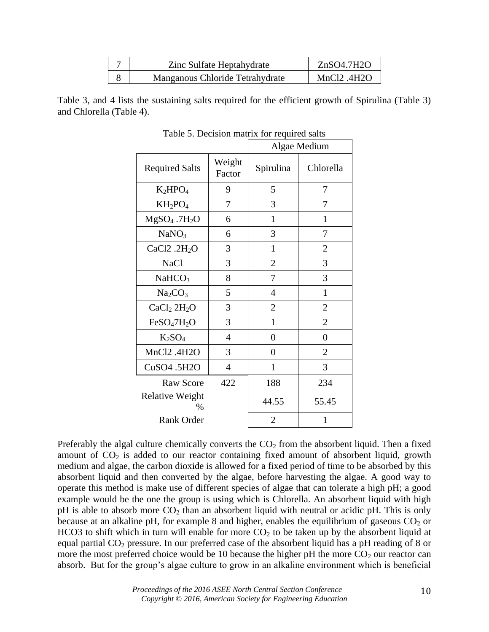| Zinc Sulfate Heptahydrate       | ZnSO4.7H2O               |
|---------------------------------|--------------------------|
| Manganous Chloride Tetrahydrate | MnCl <sub>2</sub> $4H2O$ |

Table 3, and 4 lists the sustaining salts required for the efficient growth of Spirulina (Table 3) and Chlorella (Table 4).

|                                     |                  |                | Algae Medium   |
|-------------------------------------|------------------|----------------|----------------|
| <b>Required Salts</b>               | Weight<br>Factor | Spirulina      | Chlorella      |
| $K_2HPO_4$                          | 9                | 5              | 7              |
| $KH_2PO_4$                          | 7                | 3              | 7              |
| $MgSO4$ .7H <sub>2</sub> O          | 6                | 1              | $\mathbf{1}$   |
| NaNO <sub>3</sub>                   | 6                | 3              | 7              |
| CaCl2.2H <sub>2</sub> O             | 3                | 1              | $\overline{2}$ |
| <b>NaCl</b>                         | 3                | $\overline{2}$ | 3              |
| NaHCO <sub>3</sub>                  | 8                | 7              | 3              |
| Na <sub>2</sub> CO <sub>3</sub>     | 5                | $\overline{4}$ | $\mathbf{1}$   |
| CaCl <sub>2</sub> 2H <sub>2</sub> O | 3                | $\overline{2}$ | $\overline{2}$ |
| FeSO <sub>4</sub> 7H <sub>2</sub> O | 3                | 1              | $\overline{2}$ |
| $K_2SO_4$                           | 4                | 0              | $\overline{0}$ |
| MnCl2.4H2O                          | 3                | 0              | $\overline{2}$ |
| CuSO4 .5H2O                         | $\overline{4}$   | $\mathbf{1}$   | 3              |
| <b>Raw Score</b>                    | 422              | 188            | 234            |
| <b>Relative Weight</b><br>%         |                  | 44.55          | 55.45          |
| <b>Rank Order</b>                   |                  | $\overline{2}$ | 1              |

Table 5. Decision matrix for required salts

Preferably the algal culture chemically converts the  $CO<sub>2</sub>$  from the absorbent liquid. Then a fixed amount of  $CO<sub>2</sub>$  is added to our reactor containing fixed amount of absorbent liquid, growth medium and algae, the carbon dioxide is allowed for a fixed period of time to be absorbed by this absorbent liquid and then converted by the algae, before harvesting the algae. A good way to operate this method is make use of different species of algae that can tolerate a high pH; a good example would be the one the group is using which is Chlorella. An absorbent liquid with high pH is able to absorb more  $CO<sub>2</sub>$  than an absorbent liquid with neutral or acidic pH. This is only because at an alkaline pH, for example 8 and higher, enables the equilibrium of gaseous  $CO<sub>2</sub>$  or HCO3 to shift which in turn will enable for more  $CO<sub>2</sub>$  to be taken up by the absorbent liquid at equal partial CO<sub>2</sub> pressure. In our preferred case of the absorbent liquid has a pH reading of 8 or more the most preferred choice would be 10 because the higher pH the more  $CO<sub>2</sub>$  our reactor can absorb. But for the group's algae culture to grow in an alkaline environment which is beneficial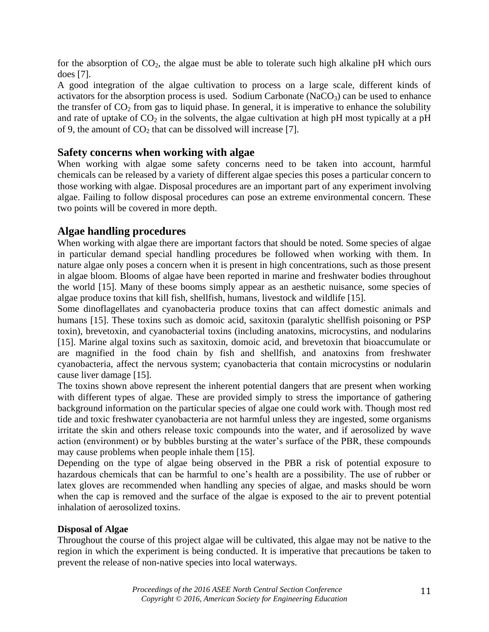for the absorption of  $CO<sub>2</sub>$ , the algae must be able to tolerate such high alkaline pH which ours does [7].

A good integration of the algae cultivation to process on a large scale, different kinds of activators for the absorption process is used. Sodium Carbonate  $(NaCO<sub>3</sub>)$  can be used to enhance the transfer of  $CO<sub>2</sub>$  from gas to liquid phase. In general, it is imperative to enhance the solubility and rate of uptake of  $CO<sub>2</sub>$  in the solvents, the algae cultivation at high pH most typically at a pH of 9, the amount of  $CO<sub>2</sub>$  that can be dissolved will increase [7].

## **Safety concerns when working with algae**

When working with algae some safety concerns need to be taken into account, harmful chemicals can be released by a variety of different algae species this poses a particular concern to those working with algae. Disposal procedures are an important part of any experiment involving algae. Failing to follow disposal procedures can pose an extreme environmental concern. These two points will be covered in more depth.

## **Algae handling procedures**

When working with algae there are important factors that should be noted. Some species of algae in particular demand special handling procedures be followed when working with them. In nature algae only poses a concern when it is present in high concentrations, such as those present in algae bloom. Blooms of algae have been reported in marine and freshwater bodies throughout the world [15]. Many of these booms simply appear as an aesthetic nuisance, some species of algae produce toxins that kill fish, shellfish, humans, livestock and wildlife [15].

Some dinoflagellates and cyanobacteria produce toxins that can affect domestic animals and humans [15]. These toxins such as domoic acid, saxitoxin (paralytic shellfish poisoning or PSP toxin), brevetoxin, and cyanobacterial toxins (including anatoxins, microcystins, and nodularins [15]. Marine algal toxins such as saxitoxin, domoic acid, and brevetoxin that bioaccumulate or are magnified in the food chain by fish and shellfish, and anatoxins from freshwater cyanobacteria, affect the nervous system; cyanobacteria that contain microcystins or nodularin cause liver damage [15].

The toxins shown above represent the inherent potential dangers that are present when working with different types of algae. These are provided simply to stress the importance of gathering background information on the particular species of algae one could work with. Though most red tide and toxic freshwater cyanobacteria are not harmful unless they are ingested, some organisms irritate the skin and others release toxic compounds into the water, and if aerosolized by wave action (environment) or by bubbles bursting at the water's surface of the PBR, these compounds may cause problems when people inhale them [15].

Depending on the type of algae being observed in the PBR a risk of potential exposure to hazardous chemicals that can be harmful to one's health are a possibility. The use of rubber or latex gloves are recommended when handling any species of algae, and masks should be worn when the cap is removed and the surface of the algae is exposed to the air to prevent potential inhalation of aerosolized toxins.

#### **Disposal of Algae**

Throughout the course of this project algae will be cultivated, this algae may not be native to the region in which the experiment is being conducted. It is imperative that precautions be taken to prevent the release of non-native species into local waterways.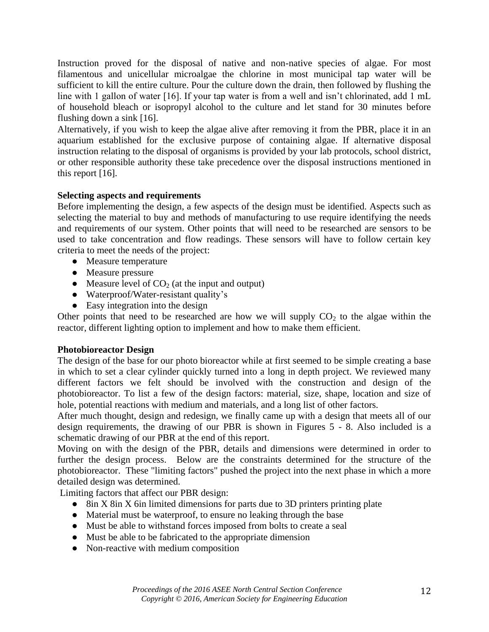Instruction proved for the disposal of native and non-native species of algae. For most filamentous and unicellular microalgae the chlorine in most municipal tap water will be sufficient to kill the entire culture. Pour the culture down the drain, then followed by flushing the line with 1 gallon of water [16]. If your tap water is from a well and isn't chlorinated, add 1 mL of household bleach or isopropyl alcohol to the culture and let stand for 30 minutes before flushing down a sink [16].

Alternatively, if you wish to keep the algae alive after removing it from the PBR, place it in an aquarium established for the exclusive purpose of containing algae. If alternative disposal instruction relating to the disposal of organisms is provided by your lab protocols, school district, or other responsible authority these take precedence over the disposal instructions mentioned in this report [16].

## **Selecting aspects and requirements**

Before implementing the design, a few aspects of the design must be identified. Aspects such as selecting the material to buy and methods of manufacturing to use require identifying the needs and requirements of our system. Other points that will need to be researched are sensors to be used to take concentration and flow readings. These sensors will have to follow certain key criteria to meet the needs of the project:

- Measure temperature
- Measure pressure
- Measure level of  $CO<sub>2</sub>$  (at the input and output)
- Waterproof/Water-resistant quality's
- Easy integration into the design

Other points that need to be researched are how we will supply  $CO<sub>2</sub>$  to the algae within the reactor, different lighting option to implement and how to make them efficient.

### **Photobioreactor Design**

The design of the base for our photo bioreactor while at first seemed to be simple creating a base in which to set a clear cylinder quickly turned into a long in depth project. We reviewed many different factors we felt should be involved with the construction and design of the photobioreactor. To list a few of the design factors: material, size, shape, location and size of hole, potential reactions with medium and materials, and a long list of other factors.

After much thought, design and redesign, we finally came up with a design that meets all of our design requirements, the drawing of our PBR is shown in Figures 5 - 8. Also included is a schematic drawing of our PBR at the end of this report.

Moving on with the design of the PBR, details and dimensions were determined in order to further the design process. Below are the constraints determined for the structure of the photobioreactor. These "limiting factors" pushed the project into the next phase in which a more detailed design was determined.

Limiting factors that affect our PBR design:

- 8in X 8in X 6in limited dimensions for parts due to 3D printers printing plate
- Material must be waterproof, to ensure no leaking through the base
- Must be able to withstand forces imposed from bolts to create a seal
- Must be able to be fabricated to the appropriate dimension
- Non-reactive with medium composition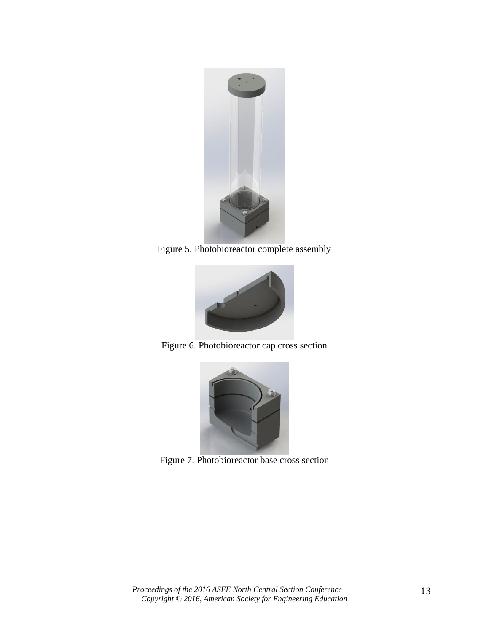

Figure 5. Photobioreactor complete assembly



Figure 6. Photobioreactor cap cross section



Figure 7. Photobioreactor base cross section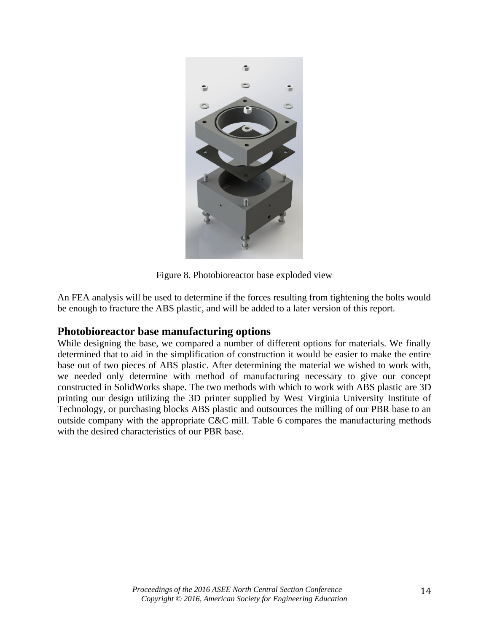

Figure 8. Photobioreactor base exploded view

An FEA analysis will be used to determine if the forces resulting from tightening the bolts would be enough to fracture the ABS plastic, and will be added to a later version of this report.

### **Photobioreactor base manufacturing options**

While designing the base, we compared a number of different options for materials. We finally determined that to aid in the simplification of construction it would be easier to make the entire base out of two pieces of ABS plastic. After determining the material we wished to work with, we needed only determine with method of manufacturing necessary to give our concept constructed in SolidWorks shape. The two methods with which to work with ABS plastic are 3D printing our design utilizing the 3D printer supplied by West Virginia University Institute of Technology, or purchasing blocks ABS plastic and outsources the milling of our PBR base to an outside company with the appropriate C&C mill. Table 6 compares the manufacturing methods with the desired characteristics of our PBR base.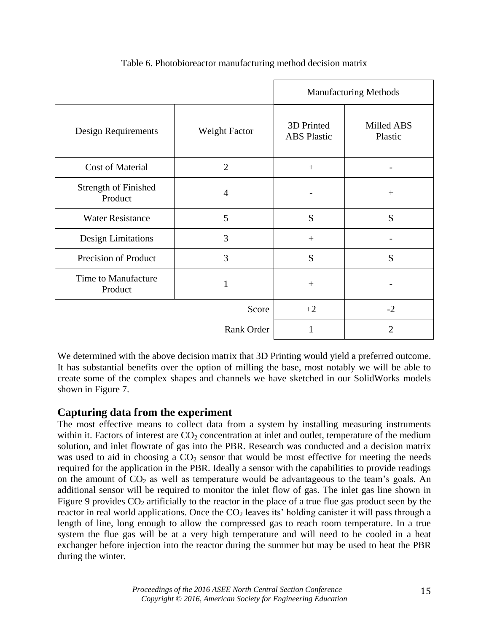|                                        |                | <b>Manufacturing Methods</b>     |                       |  |
|----------------------------------------|----------------|----------------------------------|-----------------------|--|
| Design Requirements                    | Weight Factor  | 3D Printed<br><b>ABS</b> Plastic | Milled ABS<br>Plastic |  |
| Cost of Material                       | $\overline{2}$ | $+$                              |                       |  |
| <b>Strength of Finished</b><br>Product | $\overline{4}$ |                                  | $+$                   |  |
| <b>Water Resistance</b>                | 5              | S                                | S                     |  |
| <b>Design Limitations</b>              | 3              | $+$                              |                       |  |
| Precision of Product                   | 3              | S                                | S                     |  |
| Time to Manufacture<br>Product         |                | $+$                              |                       |  |
|                                        | Score          | $+2$                             | $-2$                  |  |
|                                        | Rank Order     | 1                                | $\overline{2}$        |  |

Table 6. Photobioreactor manufacturing method decision matrix

We determined with the above decision matrix that 3D Printing would yield a preferred outcome. It has substantial benefits over the option of milling the base, most notably we will be able to create some of the complex shapes and channels we have sketched in our SolidWorks models shown in Figure 7.

## **Capturing data from the experiment**

The most effective means to collect data from a system by installing measuring instruments within it. Factors of interest are  $CO<sub>2</sub>$  concentration at inlet and outlet, temperature of the medium solution, and inlet flowrate of gas into the PBR. Research was conducted and a decision matrix was used to aid in choosing a  $CO<sub>2</sub>$  sensor that would be most effective for meeting the needs required for the application in the PBR. Ideally a sensor with the capabilities to provide readings on the amount of  $CO<sub>2</sub>$  as well as temperature would be advantageous to the team's goals. An additional sensor will be required to monitor the inlet flow of gas. The inlet gas line shown in Figure 9 provides  $CO_2$  artificially to the reactor in the place of a true flue gas product seen by the reactor in real world applications. Once the  $CO<sub>2</sub>$  leaves its' holding canister it will pass through a length of line, long enough to allow the compressed gas to reach room temperature. In a true system the flue gas will be at a very high temperature and will need to be cooled in a heat exchanger before injection into the reactor during the summer but may be used to heat the PBR during the winter.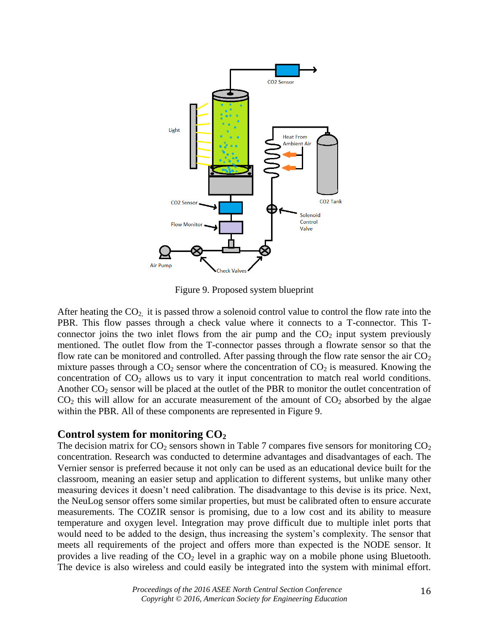

Figure 9. Proposed system blueprint

After heating the  $CO<sub>2</sub>$  it is passed throw a solenoid control value to control the flow rate into the PBR. This flow passes through a check value where it connects to a T-connector. This Tconnector joins the two inlet flows from the air pump and the  $CO<sub>2</sub>$  input system previously mentioned. The outlet flow from the T-connector passes through a flowrate sensor so that the flow rate can be monitored and controlled. After passing through the flow rate sensor the air  $CO<sub>2</sub>$ mixture passes through a  $CO<sub>2</sub>$  sensor where the concentration of  $CO<sub>2</sub>$  is measured. Knowing the concentration of  $CO<sub>2</sub>$  allows us to vary it input concentration to match real world conditions. Another  $CO_2$  sensor will be placed at the outlet of the PBR to monitor the outlet concentration of  $CO<sub>2</sub>$  this will allow for an accurate measurement of the amount of  $CO<sub>2</sub>$  absorbed by the algae within the PBR. All of these components are represented in Figure 9.

## **Control system for monitoring CO<sup>2</sup>**

The decision matrix for  $CO_2$  sensors shown in Table 7 compares five sensors for monitoring  $CO_2$ concentration. Research was conducted to determine advantages and disadvantages of each. The Vernier sensor is preferred because it not only can be used as an educational device built for the classroom, meaning an easier setup and application to different systems, but unlike many other measuring devices it doesn't need calibration. The disadvantage to this devise is its price. Next, the NeuLog sensor offers some similar properties, but must be calibrated often to ensure accurate measurements. The COZIR sensor is promising, due to a low cost and its ability to measure temperature and oxygen level. Integration may prove difficult due to multiple inlet ports that would need to be added to the design, thus increasing the system's complexity. The sensor that meets all requirements of the project and offers more than expected is the NODE sensor. It provides a live reading of the  $CO<sub>2</sub>$  level in a graphic way on a mobile phone using Bluetooth. The device is also wireless and could easily be integrated into the system with minimal effort.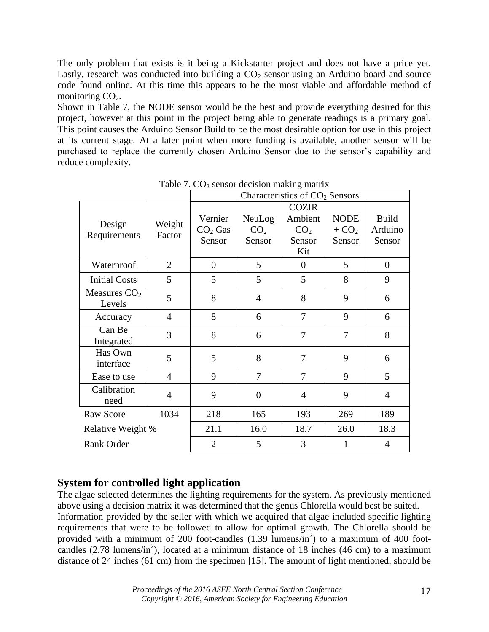The only problem that exists is it being a Kickstarter project and does not have a price yet. Lastly, research was conducted into building a  $CO<sub>2</sub>$  sensor using an Arduino board and source code found online. At this time this appears to be the most viable and affordable method of monitoring  $CO<sub>2</sub>$ .

Shown in Table 7, the NODE sensor would be the best and provide everything desired for this project, however at this point in the project being able to generate readings is a primary goal. This point causes the Arduino Sensor Build to be the most desirable option for use in this project at its current stage. At a later point when more funding is available, another sensor will be purchased to replace the currently chosen Arduino Sensor due to the sensor's capability and reduce complexity.

|                          |                  | ∸<br>Characteristics of CO <sub>2</sub> Sensors |                                     |                                                             |                                  |                                   |
|--------------------------|------------------|-------------------------------------------------|-------------------------------------|-------------------------------------------------------------|----------------------------------|-----------------------------------|
| Design<br>Requirements   | Weight<br>Factor | Vernier<br>$CO2$ Gas<br>Sensor                  | NeuLog<br>CO <sub>2</sub><br>Sensor | <b>COZIR</b><br>Ambient<br>CO <sub>2</sub><br>Sensor<br>Kit | <b>NODE</b><br>$+ CO2$<br>Sensor | <b>Build</b><br>Arduino<br>Sensor |
| Waterproof               | $\overline{2}$   | $\boldsymbol{0}$                                | 5                                   | $\theta$                                                    | 5                                | $\boldsymbol{0}$                  |
| <b>Initial Costs</b>     | 5                | 5                                               | 5                                   | 5                                                           | 8                                | 9                                 |
| Measures $CO2$<br>Levels | 5                | 8                                               | $\overline{4}$                      | 8                                                           | 9                                | 6                                 |
| Accuracy                 | 4                | 8                                               | 6                                   | 7                                                           | 9                                | 6                                 |
| Can Be<br>Integrated     | 3                | 8                                               | 6                                   | 7                                                           | 7                                | 8                                 |
| Has Own<br>interface     | 5                | 5                                               | 8                                   | 7                                                           | 9                                | 6                                 |
| Ease to use              | $\overline{4}$   | 9                                               | 7                                   | 7                                                           | 9                                | 5                                 |
| Calibration<br>need      | $\overline{4}$   | 9                                               | $\overline{0}$                      | $\overline{4}$                                              | 9                                | $\overline{4}$                    |
| <b>Raw Score</b>         | 1034             | 218                                             | 165                                 | 193                                                         | 269                              | 189                               |
| Relative Weight %        |                  | 21.1                                            | 16.0                                | 18.7                                                        | 26.0                             | 18.3                              |
| <b>Rank Order</b>        |                  | $\overline{2}$                                  | 5                                   | 3                                                           | 1                                | $\overline{4}$                    |

Table 7.  $CO<sub>2</sub>$  sensor decision making matrix

## **System for controlled light application**

The algae selected determines the lighting requirements for the system. As previously mentioned above using a decision matrix it was determined that the genus Chlorella would best be suited. Information provided by the seller with which we acquired that algae included specific lighting requirements that were to be followed to allow for optimal growth. The Chlorella should be provided with a minimum of 200 foot-candles  $(1.39 \text{ lumens/in}^2)$  to a maximum of 400 footcandles  $(2.78 \text{ lumens/in}^2)$ , located at a minimum distance of 18 inches  $(46 \text{ cm})$  to a maximum distance of 24 inches (61 cm) from the specimen [15]. The amount of light mentioned, should be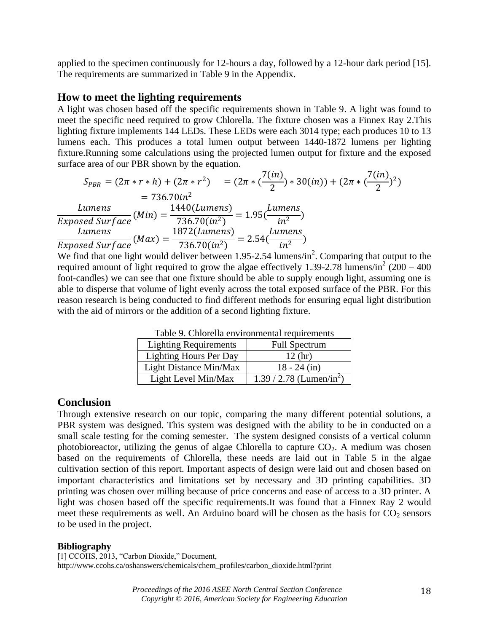applied to the specimen continuously for 12-hours a day, followed by a 12-hour dark period [15]. The requirements are summarized in Table 9 in the Appendix.

#### **How to meet the lighting requirements**

A light was chosen based off the specific requirements shown in Table 9. A light was found to meet the specific need required to grow Chlorella. The fixture chosen was a Finnex Ray 2.This lighting fixture implements 144 LEDs. These LEDs were each 3014 type; each produces 10 to 13 lumens each. This produces a total lumen output between 1440-1872 lumens per lighting fixture.Running some calculations using the projected lumen output for fixture and the exposed surface area of our PBR shown by the equation.

$$
S_{PBR} = (2\pi * r * h) + (2\pi * r^2) = (2\pi * (\frac{7(in)}{2}) * 30(in)) + (2\pi * (\frac{7(in)}{2})^2)
$$
  
= 736.70in<sup>2</sup>  
Lumens  
Exposed Surface (Min) =  $\frac{1440(Lumens)}{736.70(in^2)}$  = 1.95( $\frac{Lumens}{in^2}$ )  
Lumens  
Exposed Surface (Max) =  $\frac{1872(Lumens)}{736.70(in^2)}$  = 2.54( $\frac{Lumens}{in^2}$ )

We find that one light would deliver between 1.95-2.54 lumens/in<sup>2</sup>. Comparing that output to the required amount of light required to grow the algae effectively 1.39-2.78 lumens/in<sup>2</sup> (200 – 400) foot-candles) we can see that one fixture should be able to supply enough light, assuming one is able to disperse that volume of light evenly across the total exposed surface of the PBR. For this reason research is being conducted to find different methods for ensuring equal light distribution with the aid of mirrors or the addition of a second lighting fixture.

| 1 acie 71 chitoivita en l'itominiente iversitente. |                                        |
|----------------------------------------------------|----------------------------------------|
| <b>Lighting Requirements</b>                       | <b>Full Spectrum</b>                   |
| <b>Lighting Hours Per Day</b>                      | 12(hr)                                 |
| Light Distance Min/Max                             | $18 - 24$ (in)                         |
| Light Level Min/Max                                | $1.39 / 2.78$ (Lumen/in <sup>2</sup> ) |

Table 9. Chlorella environmental requirements

#### **Conclusion**

Through extensive research on our topic, comparing the many different potential solutions, a PBR system was designed. This system was designed with the ability to be in conducted on a small scale testing for the coming semester. The system designed consists of a vertical column photobioreactor, utilizing the genus of algae Chlorella to capture  $CO<sub>2</sub>$ . A medium was chosen based on the requirements of Chlorella, these needs are laid out in Table 5 in the algae cultivation section of this report. Important aspects of design were laid out and chosen based on important characteristics and limitations set by necessary and 3D printing capabilities. 3D printing was chosen over milling because of price concerns and ease of access to a 3D printer. A light was chosen based off the specific requirements.It was found that a Finnex Ray 2 would meet these requirements as well. An Arduino board will be chosen as the basis for  $CO<sub>2</sub>$  sensors to be used in the project.

#### **Bibliography**

[1] CCOHS, 2013, "Carbon Dioxide," Document, [http://www.ccohs.ca/oshanswers/chemicals/chem\\_profiles/carbon\\_dioxide.html?print](http://www.ccohs.ca/oshanswers/chemicals/chem_profiles/carbon_dioxide.html?print)